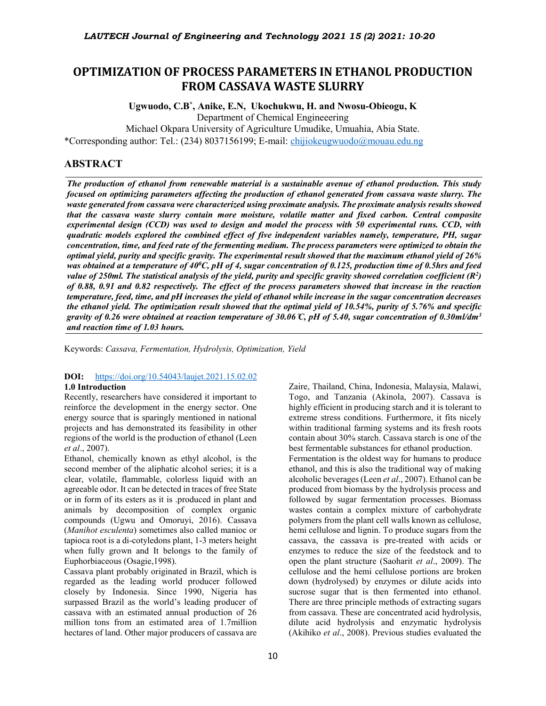# **OPTIMIZATION OF PROCESS PARAMETERS IN ETHANOL PRODUCTION FROM CASSAVA WASTE SLURRY**

**Ugwuodo, C.B\* , Anike, E.N, Ukochukwu, H. and Nwosu-Obieogu, K** Department of Chemical Engineeering Michael Okpara University of Agriculture Umudike, Umuahia, Abia State. \*Corresponding author: Tel.: (234) 8037156199; E-mail: chijiokeugwuodo@mouau.edu.ng

# **ABSTRACT**

*The production of ethanol from renewable material is a sustainable avenue of ethanol production. This study focused on optimizing parameters affecting the production of ethanol generated from cassava waste slurry. The waste generated from cassava were characterized using proximate analysis. The proximate analysis results showed that the cassava waste slurry contain more moisture, volatile matter and fixed carbon. Central composite experimental design (CCD) was used to design and model the process with 50 experimental runs. CCD, with quadratic models explored the combined effect of five independent variables namely, temperature, PH, sugar concentration, time, and feed rate of the fermenting medium. The process parameters were optimized to obtain the optimal yield, purity and specific gravity. The experimental result showed that the maximum ethanol yield of 26%*  was obtained at a temperature of 40<sup>0</sup>C, pH of 4, sugar concentration of 0.125, production time of 0.5hrs and feed value of 250ml. The statistical analysis of the yield, purity and specific gravity showed correlation coefficient (R<sup>2</sup>) *of 0.88, 0.91 and 0.82 respectively. The effect of the process parameters showed that increase in the reaction temperature, feed, time, and pH increases the yield of ethanol while increase in the sugar concentration decreases the ethanol yield. The optimization result showed that the optimal yield of 10.54%, purity of 5.76% and specific gravity of 0.26 were obtained at reaction temperature of 30.06 ̊C, pH of 5.40, sugar concentration of 0.30ml/dm3 and reaction time of 1.03 hours.*

Keywords: *Cassava, Fermentation, Hydrolysis, Optimization, Yield*

### **DOI:** https://doi.org/10.54043/laujet.2021.15.02.02 **1.0 Introduction**

Recently, researchers have considered it important to reinforce the development in the energy sector. One energy source that is sparingly mentioned in national projects and has demonstrated its feasibility in other regions of the world is the production of ethanol (Leen *et al*., 2007).

Ethanol, chemically known as ethyl alcohol, is the second member of the aliphatic alcohol series; it is a clear, volatile, flammable, colorless liquid with an agreeable odor. It can be detected in traces of free State or in form of its esters as it is .produced in plant and animals by decomposition of complex organic compounds (Ugwu and Omoruyi, 2016). Cassava (*Manihot esculenta*) sometimes also called manioc or tapioca root is a di-cotyledons plant, 1-3 meters height when fully grown and It belongs to the family of Euphorbiaceous (Osagie,1998).

Cassava plant probably originated in Brazil, which is regarded as the leading world producer followed closely by Indonesia. Since 1990, Nigeria has surpassed Brazil as the world's leading producer of cassava with an estimated annual production of 26 million tons from an estimated area of 1.7million hectares of land. Other major producers of cassava are

Togo, and Tanzania (Akinola, 2007). Cassava is highly efficient in producing starch and it is tolerant to extreme stress conditions. Furthermore, it fits nicely within traditional farming systems and its fresh roots contain about 30% starch. Cassava starch is one of the best fermentable substances for ethanol production. Fermentation is the oldest way for humans to produce ethanol, and this is also the traditional way of making alcoholic beverages (Leen *et al*., 2007). Ethanol can be produced from biomass by the hydrolysis process and followed by sugar fermentation processes. Biomass wastes contain a complex mixture of carbohydrate polymers from the plant cell walls known as cellulose, hemi cellulose and lignin. To produce sugars from the cassava, the cassava is pre-treated with acids or enzymes to reduce the size of the feedstock and to open the plant structure (Saoharit *et al*., 2009). The cellulose and the hemi cellulose portions are broken down (hydrolysed) by enzymes or dilute acids into sucrose sugar that is then fermented into ethanol. There are three principle methods of extracting sugars from cassava. These are concentrated acid hydrolysis, dilute acid hydrolysis and enzymatic hydrolysis (Akihiko *et al*., 2008). Previous studies evaluated the

Zaire, Thailand, China, Indonesia, Malaysia, Malawi,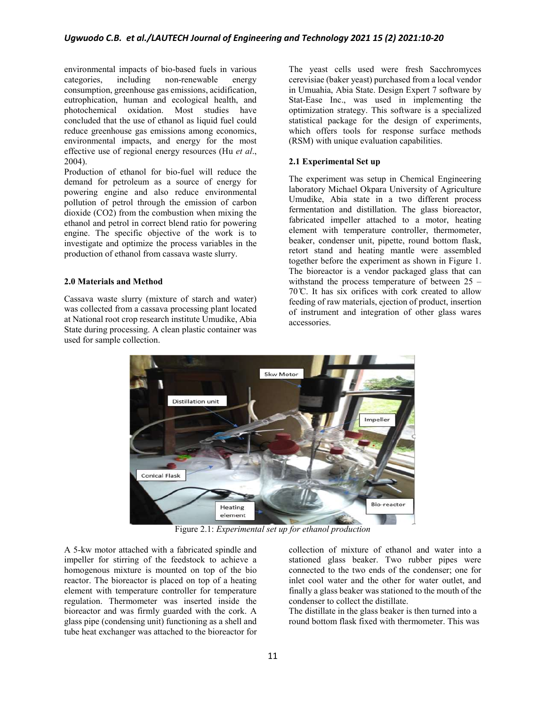environmental impacts of bio-based fuels in various<br>categories, including non-renewable energy categories, including non-renewable energy consumption, greenhouse gas emissions, acidification, eutrophication, human and ecological health, and photochemical oxidation. Most studies have concluded that the use of ethanol as liquid fuel could reduce greenhouse gas emissions among economics, environmental impacts, and energy for the most effective use of regional energy resources (Hu *et al*., 2004).

Production of ethanol for bio-fuel will reduce the demand for petroleum as a source of energy for powering engine and also reduce environmental pollution of petrol through the emission of carbon dioxide (CO2) from the combustion when mixing the ethanol and petrol in correct blend ratio for powering engine. The specific objective of the work is to investigate and optimize the process variables in the production of ethanol from cassava waste slurry.

#### **2.0 Materials and Method**

Cassava waste slurry (mixture of starch and water) was collected from a cassava processing plant located at National root crop research institute Umudike, Abia State during processing. A clean plastic container was used for sample collection.

The yeast cells used were fresh Sacchromyces cerevisiae (baker yeast) purchased from a local vendor in Umuahia, Abia State. Design Expert 7 software by Stat-Ease Inc., was used in implementing the optimization strategy. This software is a specialized statistical package for the design of experiments, which offers tools for response surface methods (RSM) with unique evaluation capabilities.

#### **2.1 Experimental Set up**

The experiment was setup in Chemical Engineering laboratory Michael Okpara University of Agriculture Umudike, Abia state in a two different process fermentation and distillation. The glass bioreactor, fabricated impeller attached to a motor, heating element with temperature controller, thermometer, beaker, condenser unit, pipette, round bottom flask, retort stand and heating mantle were assembled together before the experiment as shown in Figure 1. The bioreactor is a vendor packaged glass that can withstand the process temperature of between 25 –  $70^{\circ}$ C. It has six orifices with cork created to allow feeding of raw materials, ejection of product, insertion of instrument and integration of other glass wares accessories.



Figure 2.1: *Experimental set up for ethanol production*

A 5-kw motor attached with a fabricated spindle and impeller for stirring of the feedstock to achieve a homogenous mixture is mounted on top of the bio reactor. The bioreactor is placed on top of a heating element with temperature controller for temperature regulation. Thermometer was inserted inside the bioreactor and was firmly guarded with the cork. A glass pipe (condensing unit) functioning as a shell and tube heat exchanger was attached to the bioreactor for

collection of mixture of ethanol and water into a stationed glass beaker. Two rubber pipes were connected to the two ends of the condenser; one for inlet cool water and the other for water outlet, and finally a glass beaker was stationed to the mouth of the condenser to collect the distillate.

The distillate in the glass beaker is then turned into a round bottom flask fixed with thermometer. This was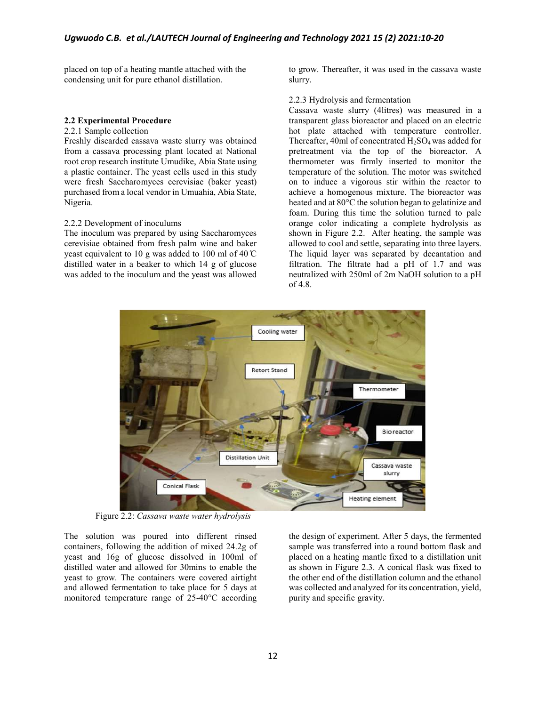placed on top of a heating mantle attached with the condensing unit for pure ethanol distillation.

### **2.2 Experimental Procedure**

#### 2.2.1 Sample collection

Freshly discarded cassava waste slurry was obtained from a cassava processing plant located at National root crop research institute Umudike, Abia State using a plastic container. The yeast cells used in this study were fresh Saccharomyces cerevisiae (baker yeast) purchased from a local vendor in Umuahia, Abia State, Nigeria.

#### 2.2.2 Development of inoculums

The inoculum was prepared by using Saccharomyces cerevisiae obtained from fresh palm wine and baker yeast equivalent to 10 g was added to 100 ml of 40  $\degree$ C distilled water in a beaker to which 14 g of glucose was added to the inoculum and the yeast was allowed

to grow. Thereafter, it was used in the cassava waste slurry.

# 2.2.3 Hydrolysis and fermentation

Cassava waste slurry (4litres) was measured in a transparent glass bioreactor and placed on an electric hot plate attached with temperature controller. Thereafter, 40ml of concentrated  $H_2SO_4$  was added for pretreatment via the top of the bioreactor. A thermometer was firmly inserted to monitor the temperature of the solution. The motor was switched on to induce a vigorous stir within the reactor to achieve a homogenous mixture. The bioreactor was heated and at 80°C the solution began to gelatinize and foam. During this time the solution turned to pale orange color indicating a complete hydrolysis as shown in Figure 2.2. After heating, the sample was allowed to cool and settle, separating into three layers. The liquid layer was separated by decantation and filtration. The filtrate had a pH of 1.7 and was neutralized with 250ml of 2m NaOH solution to a pH of 4.8.



Figure 2.2: *Cassava waste water hydrolysis*

The solution was poured into different rinsed containers, following the addition of mixed 24.2g of yeast and 16g of glucose dissolved in 100ml of distilled water and allowed for 30mins to enable the yeast to grow. The containers were covered airtight and allowed fermentation to take place for 5 days at monitored temperature range of 25-40°C according

the design of experiment. After 5 days, the fermented sample was transferred into a round bottom flask and placed on a heating mantle fixed to a distillation unit as shown in Figure 2.3. A conical flask was fixed to the other end of the distillation column and the ethanol was collected and analyzed for its concentration, yield, purity and specific gravity.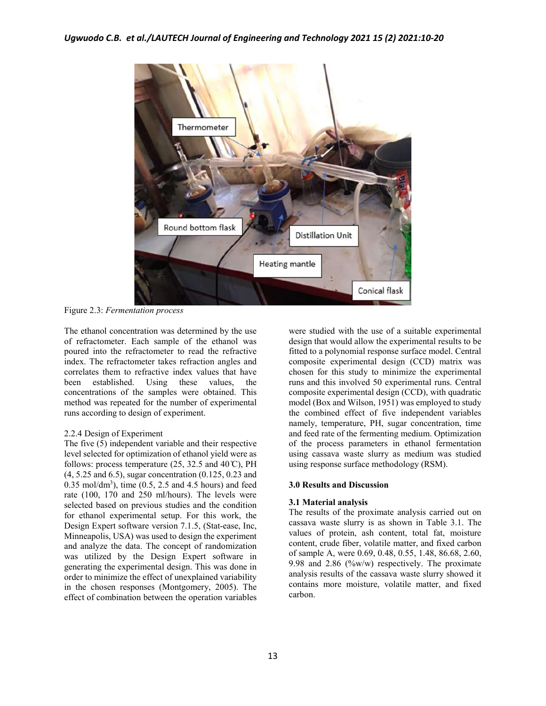

Figure 2.3: *Fermentation process*

The ethanol concentration was determined by the use of refractometer. Each sample of the ethanol was poured into the refractometer to read the refractive index. The refractometer takes refraction angles and correlates them to refractive index values that have<br>been established. Using these values, the been established. Using these values, the concentrations of the samples were obtained. This method was repeated for the number of experimental runs according to design of experiment.

#### 2.2.4 Design of Experiment

The five (5) independent variable and their respective level selected for optimization of ethanol yield were as follows: process temperature  $(25, 32.5, \text{ and } 40 \, \text{°C})$ , PH (4, 5.25 and 6.5), sugar concentration (0.125, 0.23 and  $0.35 \text{ mol/dm}^3$ , time  $(0.5, 2.5 \text{ and } 4.5 \text{ hours})$  and feed rate (100, 170 and 250 ml/hours). The levels were selected based on previous studies and the condition for ethanol experimental setup. For this work, the Design Expert software version 7.1.5, (Stat-ease, Inc, Minneapolis, USA) was used to design the experiment and analyze the data. The concept of randomization was utilized by the Design Expert software in generating the experimental design. This was done in order to minimize the effect of unexplained variability in the chosen responses (Montgomery, 2005). The effect of combination between the operation variables

were studied with the use of a suitable experimental design that would allow the experimental results to be fitted to a polynomial response surface model. Central composite experimental design (CCD) matrix was chosen for this study to minimize the experimental runs and this involved 50 experimental runs. Central composite experimental design (CCD), with quadratic model (Box and Wilson, 1951) was employed to study the combined effect of five independent variables namely, temperature, PH, sugar concentration, time and feed rate of the fermenting medium. Optimization of the process parameters in ethanol fermentation using cassava waste slurry as medium was studied using response surface methodology (RSM).

## **3.0 Results and Discussion**

#### **3.1 Material analysis**

The results of the proximate analysis carried out on cassava waste slurry is as shown in Table 3.1. The values of protein, ash content, total fat, moisture content, crude fiber, volatile matter, and fixed carbon of sample A, were 0.69, 0.48, 0.55, 1.48, 86.68, 2.60, 9.98 and 2.86 ( $\frac{\%w}{w}$ ) respectively. The proximate analysis results of the cassava waste slurry showed it contains more moisture, volatile matter, and fixed carbon.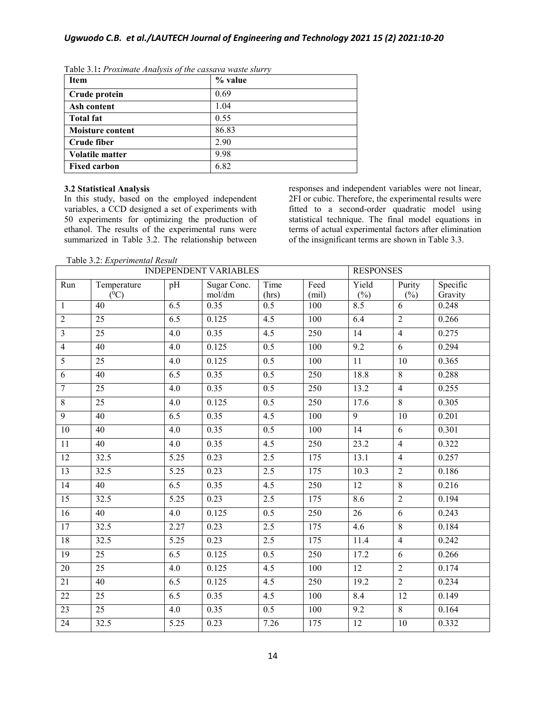| Item                    | % value |
|-------------------------|---------|
| Crude protein           | 0.69    |
| Ash content             | 1.04    |
| <b>Total fat</b>        | 0.55    |
| <b>Moisture content</b> | 86.83   |
| Crude fiber             | 2.90    |
| <b>Volatile matter</b>  | 9.98    |
| <b>Fixed carbon</b>     | 6.82    |

Table 3.1**:** *Proximate Analysis of the cassava waste slurry*

# **3.2 Statistical Analysis**

In this study, based on the employed independent variables, a CCD designed a set of experiments with 50 experiments for optimizing the production of ethanol. The results of the experimental runs were summarized in Table 3.2. The relationship between responses and independent variables were not linear, 2FI or cubic. Therefore, the experimental results were fitted to a second-order quadratic model using statistical technique. The final model equations in terms of actual experimental factors after elimination of the insignificant terms are shown in Table 3.3.

Table 3.2: *Experimental Result*

|                         | <b>INDEPENDENT VARIABLES</b> |                   |                       | <b>RESPONSES</b>          |              |                 |                 |                     |
|-------------------------|------------------------------|-------------------|-----------------------|---------------------------|--------------|-----------------|-----------------|---------------------|
| Run                     | Temperature<br>$(^0C)$       | pH                | Sugar Conc.<br>mol/dm | Time                      | Feed         | Yield           | Purity          | Specific<br>Gravity |
| $\mathbf{1}$            | 40                           | 6.5               | 0.35                  | (hrs)<br>$\overline{0.5}$ | (mil)<br>100 | $(\%)$<br>8.5   | $(\%)$<br>6     | 0.248               |
| $\overline{2}$          | $\overline{25}$              | 6.5               | 0.125                 | $\overline{4.5}$          |              |                 | $\overline{2}$  |                     |
|                         |                              |                   |                       |                           | 100          | 6.4             |                 | 0.266               |
| $\overline{\mathbf{3}}$ | $\overline{25}$              | 4.0               | 0.35                  | 4.5                       | 250          | 14              | $\overline{4}$  | 0.275               |
| $\overline{4}$          | 40                           | $\overline{4.0}$  | 0.125                 | 0.5                       | 100          | 9.2             | $\overline{6}$  | 0.294               |
| $\overline{5}$          | 25                           | 4.0               | 0.125                 | $\overline{0.5}$          | 100          | 11              | $10\,$          | 0.365               |
| 6                       | 40                           | 6.5               | 0.35                  | 0.5                       | 250          | 18.8            | 8               | 0.288               |
| $\overline{7}$          | 25                           | 4.0               | 0.35                  | 0.5                       | 250          | 13.2            | $\overline{4}$  | 0.255               |
| $\overline{8}$          | 25                           | $\overline{4.0}$  | 0.125                 | 0.5                       | 250          | 17.6            | $\overline{8}$  | 0.305               |
| $\overline{9}$          | 40                           | $\overline{6.5}$  | 0.35                  | 4.5                       | 100          | $\overline{9}$  | 10              | 0.201               |
| 10                      | $\overline{40}$              | $\overline{4.0}$  | 0.35                  | $\overline{0.5}$          | 100          | 14              | 6               | 0.301               |
| 11                      | 40                           | 4.0               | 0.35                  | 4.5                       | 250          | 23.2            | $\overline{4}$  | 0.322               |
| 12                      | 32.5                         | 5.25              | 0.23                  | 2.5                       | 175          | 13.1            | $\overline{4}$  | 0.257               |
| 13                      | 32.5                         | $\overline{5.25}$ | 0.23                  | 2.5                       | 175          | 10.3            | $\overline{2}$  | 0.186               |
| 14                      | $\overline{40}$              | 6.5               | 0.35                  | 4.5                       | 250          | $\overline{12}$ | $\overline{8}$  | 0.216               |
| 15                      | 32.5                         | $\overline{5.25}$ | 0.23                  | 2.5                       | 175          | 8.6             | $\overline{2}$  | 0.194               |
| 16                      | $\overline{40}$              | $\overline{4.0}$  | 0.125                 | $\overline{0.5}$          | 250          | $\overline{26}$ | 6               | 0.243               |
| 17                      | 32.5                         | 2.27              | 0.23                  | 2.5                       | 175          | 4.6             | 8               | 0.184               |
| 18                      | 32.5                         | 5.25              | 0.23                  | 2.5                       | 175          | 11.4            | $\overline{4}$  | 0.242               |
| 19                      | 25                           | $\overline{6.5}$  | 0.125                 | $\overline{0.5}$          | 250          | 17.2            | 6               | 0.266               |
| 20                      | $\overline{25}$              | $\overline{4.0}$  | 0.125                 | $\overline{4.5}$          | 100          | 12              | $\overline{2}$  | 0.174               |
| $\overline{21}$         | $\overline{40}$              | $\overline{6.5}$  | 0.125                 | 4.5                       | 250          | 19.2            | $\overline{2}$  | 0.234               |
| $\overline{22}$         | $\overline{25}$              | 6.5               | 0.35                  | 4.5                       | 100          | 8.4             | $\overline{12}$ | 0.149               |
| 23                      | 25                           | 4.0               | 0.35                  | 0.5                       | 100          | 9.2             | 8               | 0.164               |
| 24                      | 32.5                         | 5.25              | 0.23                  | 7.26                      | 175          | $\overline{12}$ | $10\,$          | 0.332               |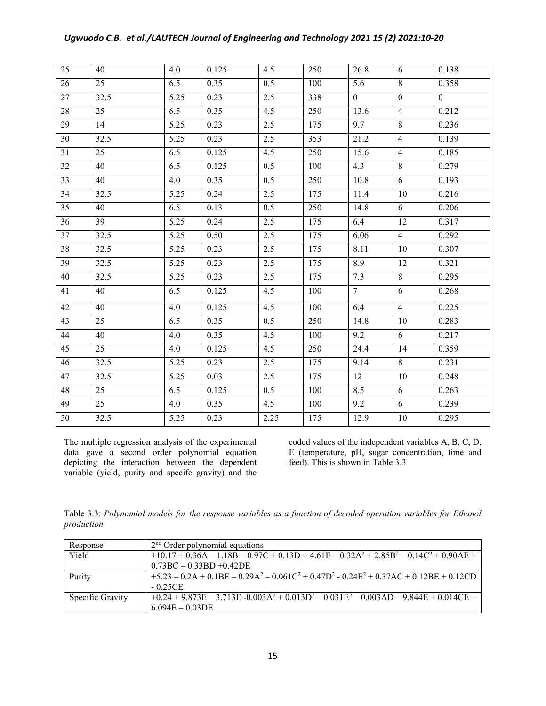|  |  | Ugwuodo C.B. et al./LAUTECH Journal of Engineering and Technology 2021 15 (2) 2021:10-20 |  |  |
|--|--|------------------------------------------------------------------------------------------|--|--|
|--|--|------------------------------------------------------------------------------------------|--|--|

| $\overline{25}$ | 40              | 4.0  | 0.125 | 4.5  | 250 | 26.8         | 6                | 0.138            |
|-----------------|-----------------|------|-------|------|-----|--------------|------------------|------------------|
| 26              | 25              | 6.5  | 0.35  | 0.5  | 100 | 5.6          | $8\,$            | 0.358            |
| $\overline{27}$ | 32.5            | 5.25 | 0.23  | 2.5  | 338 | $\mathbf{0}$ | $\boldsymbol{0}$ | $\boldsymbol{0}$ |
| $\overline{28}$ | 25              | 6.5  | 0.35  | 4.5  | 250 | 13.6         | $\overline{4}$   | 0.212            |
| $\overline{29}$ | $\overline{14}$ | 5.25 | 0.23  | 2.5  | 175 | 9.7          | $\overline{8}$   | 0.236            |
| 30              | 32.5            | 5.25 | 0.23  | 2.5  | 353 | 21.2         | $\overline{4}$   | 0.139            |
| 31              | 25              | 6.5  | 0.125 | 4.5  | 250 | 15.6         | $\overline{4}$   | 0.185            |
| 32              | 40              | 6.5  | 0.125 | 0.5  | 100 | 4.3          | $8\,$            | 0.279            |
| 33              | 40              | 4.0  | 0.35  | 0.5  | 250 | 10.8         | 6                | 0.193            |
| $\overline{34}$ | 32.5            | 5.25 | 0.24  | 2.5  | 175 | 11.4         | $\overline{10}$  | 0.216            |
| $\overline{35}$ | 40              | 6.5  | 0.13  | 0.5  | 250 | 14.8         | 6                | 0.206            |
| 36              | 39              | 5.25 | 0.24  | 2.5  | 175 | 6.4          | 12               | 0.317            |
| $\overline{37}$ | 32.5            | 5.25 | 0.50  | 2.5  | 175 | 6.06         | $\overline{4}$   | 0.292            |
| 38              | 32.5            | 5.25 | 0.23  | 2.5  | 175 | 8.11         | 10               | 0.307            |
| 39              | 32.5            | 5.25 | 0.23  | 2.5  | 175 | 8.9          | 12               | 0.321            |
| 40              | 32.5            | 5.25 | 0.23  | 2.5  | 175 | 7.3          | $\overline{8}$   | 0.295            |
| 41              | 40              | 6.5  | 0.125 | 4.5  | 100 | $\tau$       | 6                | 0.268            |
| 42              | 40              | 4.0  | 0.125 | 4.5  | 100 | 6.4          | $\overline{4}$   | 0.225            |
| 43              | 25              | 6.5  | 0.35  | 0.5  | 250 | 14.8         | $10\,$           | 0.283            |
| 44              | 40              | 4.0  | 0.35  | 4.5  | 100 | 9.2          | 6                | 0.217            |
| 45              | $\overline{25}$ | 4.0  | 0.125 | 4.5  | 250 | 24.4         | 14               | 0.359            |
| 46              | 32.5            | 5.25 | 0.23  | 2.5  | 175 | 9.14         | $\overline{8}$   | 0.231            |
| 47              | 32.5            | 5.25 | 0.03  | 2.5  | 175 | 12           | 10               | 0.248            |
| 48              | 25              | 6.5  | 0.125 | 0.5  | 100 | 8.5          | 6                | 0.263            |
| 49              | 25              | 4.0  | 0.35  | 4.5  | 100 | 9.2          | 6                | 0.239            |
| 50              | 32.5            | 5.25 | 0.23  | 2.25 | 175 | 12.9         | $10\,$           | 0.295            |

The multiple regression analysis of the experimental data gave a second order polynomial equation depicting the interaction between the dependent variable (yield, purity and specifc gravity) and the

coded values of the independent variables A, B, C, D, E (temperature, pH, sugar concentration, time and feed). This is shown in Table 3.3

Table 3.3: *Polynomial models for the response variables as a function of decoded operation variables for Ethanol production*

| Response         | $2nd$ Order polynomial equations                                                           |
|------------------|--------------------------------------------------------------------------------------------|
| Yield            | $+10.17 + 0.36A - 1.18B - 0.97C + 0.13D + 4.61E - 0.32A^2 + 2.85B^2 - 0.14C^2 + 0.90AE +$  |
|                  | $0.73BC - 0.33BD + 0.42DE$                                                                 |
| Purity           | $+5.23 - 0.2A + 0.1BE - 0.29A^2 - 0.061C^2 + 0.47D^2 - 0.24E^2 + 0.37AC + 0.12BE + 0.12CD$ |
|                  | $-0.25CE$                                                                                  |
| Specific Gravity | $+0.24 + 9.873E - 3.713E - 0.003A^2 + 0.013D^2 - 0.031E^2 - 0.003AD - 9.844E + 0.014CE +$  |
|                  | $6.094E - 0.03DE$                                                                          |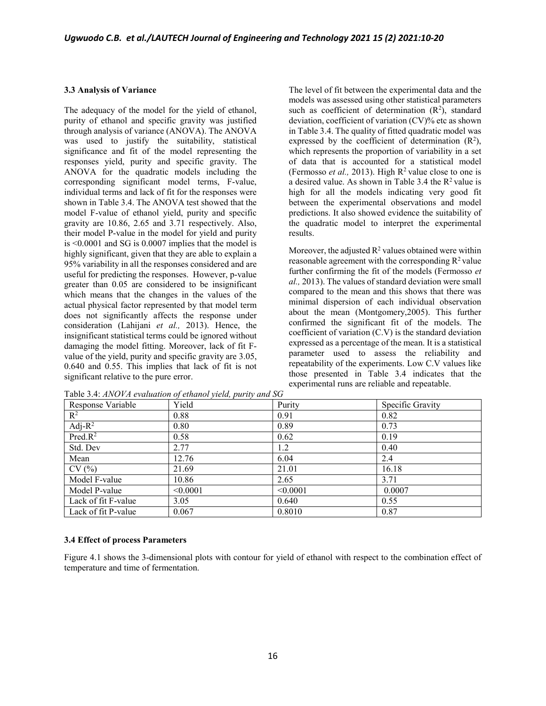#### **3.3 Analysis of Variance**

The adequacy of the model for the yield of ethanol, purity of ethanol and specific gravity was justified through analysis of variance (ANOVA). The ANOVA was used to justify the suitability, statistical significance and fit of the model representing the responses yield, purity and specific gravity. The ANOVA for the quadratic models including the corresponding significant model terms, F-value, individual terms and lack of fit for the responses were shown in Table 3.4. The ANOVA test showed that the model F-value of ethanol yield, purity and specific gravity are 10.86, 2.65 and 3.71 respectively. Also, their model P-value in the model for yield and purity is <0.0001 and SG is 0.0007 implies that the model is highly significant, given that they are able to explain a 95% variability in all the responses considered and are useful for predicting the responses. However, p-value greater than 0.05 are considered to be insignificant which means that the changes in the values of the actual physical factor represented by that model term does not significantly affects the response under consideration (Lahijani *et al.,* 2013). Hence, the insignificant statistical terms could be ignored without damaging the model fitting. Moreover, lack of fit Fvalue of the yield, purity and specific gravity are 3.05, 0.640 and 0.55. This implies that lack of fit is not significant relative to the pure error.

The level of fit between the experimental data and the models was assessed using other statistical parameters such as coefficient of determination  $(R^2)$ , standard deviation, coefficient of variation (CV)% etc as shown in Table 3.4. The quality of fitted quadratic model was expressed by the coefficient of determination  $(R^2)$ , which represents the proportion of variability in a set of data that is accounted for a statistical model (Fermosso *et al.*, 2013). High  $R^2$  value close to one is a desired value. As shown in Table 3.4 the  $R^2$  value is high for all the models indicating very good fit between the experimental observations and model predictions. It also showed evidence the suitability of the quadratic model to interpret the experimental results.

Moreover, the adjusted  $R^2$  values obtained were within reasonable agreement with the corresponding  $R^2$  value further confirming the fit of the models (Fermosso *et al.,* 2013). The values of standard deviation were small compared to the mean and this shows that there was minimal dispersion of each individual observation about the mean (Montgomery,2005). This further confirmed the significant fit of the models. The coefficient of variation (C.V) is the standard deviation expressed as a percentage of the mean. It is a statistical parameter used to assess the reliability and repeatability of the experiments. Low C.V values like those presented in Table 3.4 indicates that the experimental runs are reliable and repeatable.

| Response Variable   | Yield    | Purity   | Specific Gravity |
|---------------------|----------|----------|------------------|
| $\mathbb{R}^2$      | 0.88     | 0.91     | 0.82             |
| Adj- $R^2$          | 0.80     | 0.89     | 0.73             |
| Pred.R <sup>2</sup> | 0.58     | 0.62     | 0.19             |
| Std. Dev            | 2.77     | 1.2      | 0.40             |
| Mean                | 12.76    | 6.04     | 2.4              |
| CV(%)               | 21.69    | 21.01    | 16.18            |
| Model F-value       | 10.86    | 2.65     | 3.71             |
| Model P-value       | < 0.0001 | < 0.0001 | 0.0007           |
| Lack of fit F-value | 3.05     | 0.640    | 0.55             |
| Lack of fit P-value | 0.067    | 0.8010   | 0.87             |

Table 3.4: *ANOVA evaluation of ethanol yield, purity and SG*

#### **3.4 Effect of process Parameters**

Figure 4.1 shows the 3-dimensional plots with contour for yield of ethanol with respect to the combination effect of temperature and time of fermentation.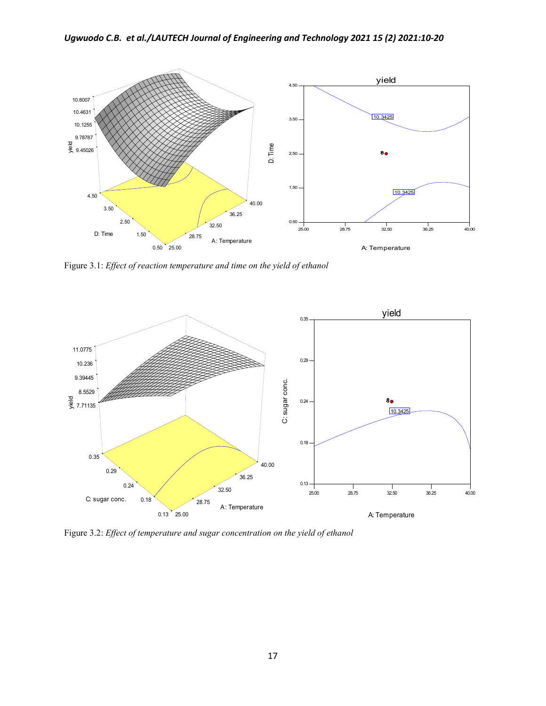

Figure 3.1: *Effect of reaction temperature and time on the yield of ethanol*



Figure 3.2: *Effect of temperature and sugar concentration on the yield of ethanol*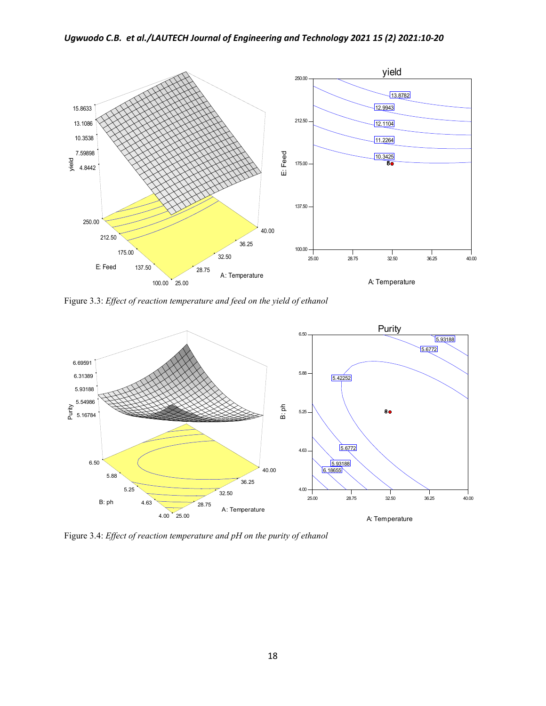

Figure 3.3: *Effect of reaction temperature and feed on the yield of ethanol*



Figure 3.4: *Effect of reaction temperature and pH on the purity of ethanol*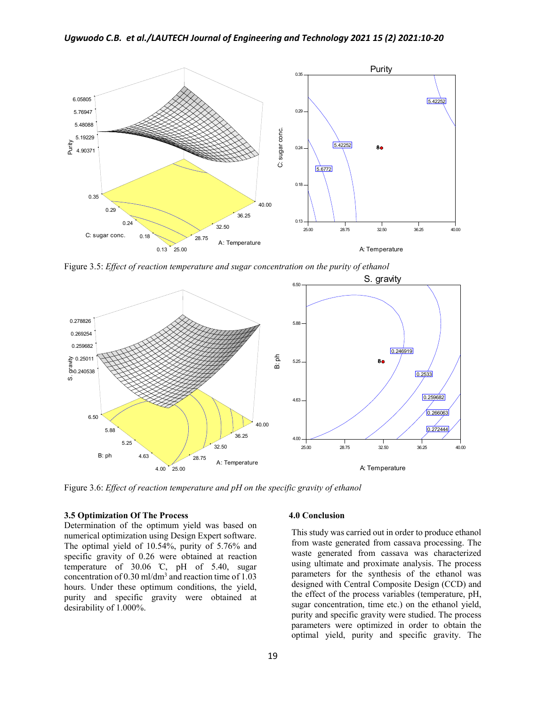

Figure 3.5: *Effect of reaction temperature and sugar concentration on the purity of ethanol*



Figure 3.6: *Effect of reaction temperature and pH on the specific gravity of ethanol*

### **3.5 Optimization Of The Process**

Determination of the optimum yield was based on numerical optimization using Design Expert software. The optimal yield of 10.54%, purity of 5.76% and specific gravity of 0.26 were obtained at reaction temperature of  $30.06$  °C, pH of  $5.40$ , sugar concentration of 0.30 ml/dm3 and reaction time of 1.03 hours. Under these optimum conditions, the yield, purity and specific gravity were obtained at desirability of 1.000%.

### **4.0 Conclusion**

This study was carried out in order to produce ethanol from waste generated from cassava processing. The waste generated from cassava was characterized using ultimate and proximate analysis. The process parameters for the synthesis of the ethanol was designed with Central Composite Design (CCD) and the effect of the process variables (temperature, pH, sugar concentration, time etc.) on the ethanol yield, purity and specific gravity were studied. The process parameters were optimized in order to obtain the optimal yield, purity and specific gravity. The